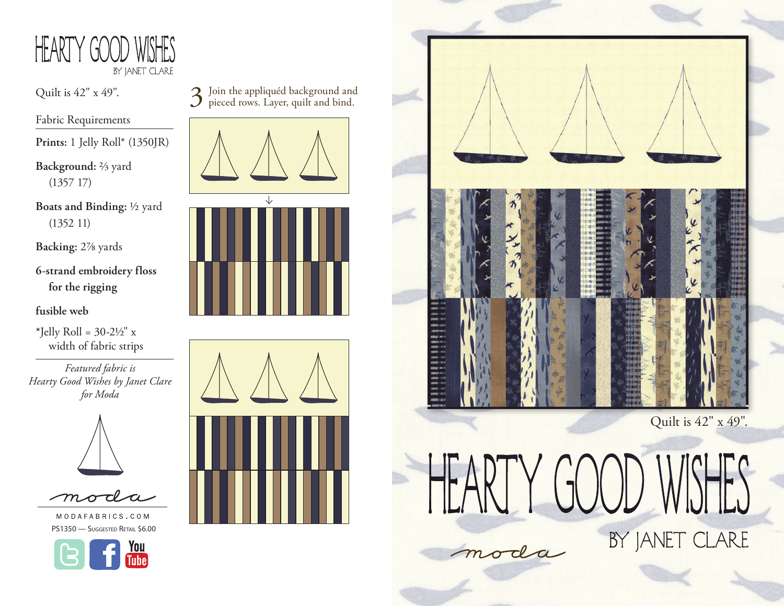

Fabric Requirements

**Prints:** 1 Jelly Roll\* (1350JR)

**Background:** 2/3 yard (1357 17)

**Boats and Binding:** 1/2 yard (1352 11)

**Backing:** 27/8 yards

**6-strand embroidery floss for the rigging**

**fusible web**

 $*$ Jelly Roll = 30-2½" x width of fabric strips

*Featured fabric is Hearty Good Wishes by Janet Clare for Moda*





MODAFABRICS.COM PS1350 - Suggested Retail \$6.00



Quilt is 42" x 49".<br>  $\sum$  Join the appliquéd background and and bind.









 $(\pi(\chi))$ 

moda

Quilt is 42" x 49".

BY JANET CLARE